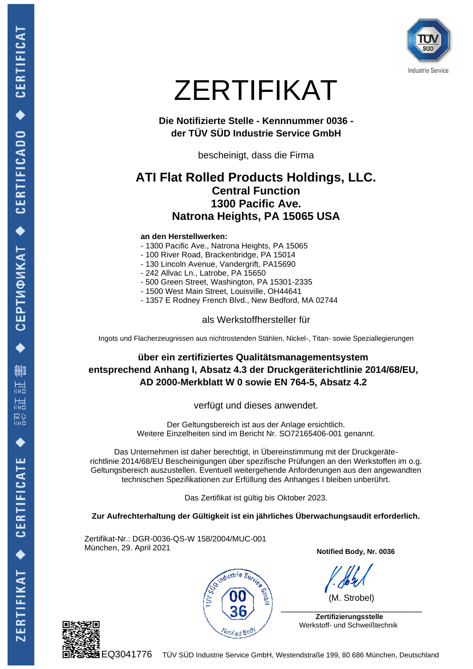

# ZERTIFIKAT

**Die Notifizierte Stelle - Kennnummer 0036 der TÜV SÜD Industrie Service GmbH**

bescheinigt, dass die Firma

## **ATI Flat Rolled Products Holdings, LLC. Central Function 1300 Pacific Ave. Natrona Heights, PA 15065 USA**

#### **an den Herstellwerken:**

- 1300 Pacific Ave., Natrona Heights, PA 15065
- 100 River Road, Brackenbridge, PA 15014
- 130 Lincoln Avenue, Vandergrift, PA15690
- 242 Allvac Ln., Latrobe, PA 15650
- 500 Green Street, Washington, PA 15301-2335
- 1500 West Main Street, Louisville, OH44641
- 1357 E Rodney French Blvd., New Bedford, MA 02744

als Werkstoffhersteller für

Ingots und Flacherzeugnissen aus nichtrostenden Stählen, Nickel-, Titan- sowie Speziallegierungen

**über ein zertifiziertes Qualitätsmanagementsystem entsprechend Anhang I, Absatz 4.3 der Druckgeräterichtlinie 2014/68/EU, AD 2000-Merkblatt W 0 sowie EN 764-5, Absatz 4.2**

verfügt und dieses anwendet.

Der Geltungsbereich ist aus der Anlage ersichtlich. Weitere Einzelheiten sind im Bericht Nr. SO72165406-001 genannt.

Das Unternehmen ist daher berechtigt, in Übereinstimmung mit der Druckgeräterichtlinie 2014/68/EU Bescheinigungen über spezifische Prüfungen an den Werkstoffen im o.g. Geltungsbereich auszustellen. Eventuell weitergehende Anforderungen aus den angewandten technischen Spezifikationen zur Erfüllung des Anhanges I bleiben unberührt.

Das Zertifikat ist gültig bis Oktober 2023.

**Zur Aufrechterhaltung der Gültigkeit ist ein jährliches Überwachungsaudit erforderlich.**

Zertifikat-Nr.: DGR-0036-QS-W 158/2004/MUC-001 München, 29. April 2021



**Notified Body, Nr. 0036**

(M. Strobel)

 **Zertifizierungsstelle** Werkstoff- und Schweißtechnik

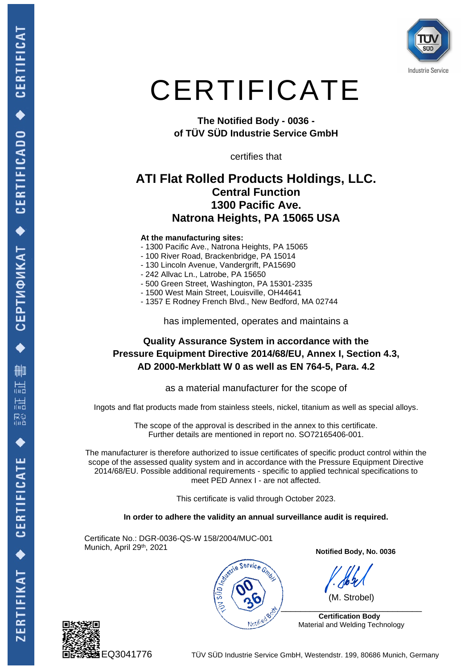

# **CERTIFICATE**

**The Notified Body - 0036 of TÜV SÜD Industrie Service GmbH** 

certifies that

## **ATI Flat Rolled Products Holdings, LLC. Central Function 1300 Pacific Ave. Natrona Heights, PA 15065 USA**

#### **At the manufacturing sites:**

- 1300 Pacific Ave., Natrona Heights, PA 15065
- 100 River Road, Brackenbridge, PA 15014
- 130 Lincoln Avenue, Vandergrift, PA15690
- 242 Allvac Ln., Latrobe, PA 15650
- 500 Green Street, Washington, PA 15301-2335
- 1500 West Main Street, Louisville, OH44641
- 1357 E Rodney French Blvd., New Bedford, MA 02744

has implemented, operates and maintains a

### **Quality Assurance System in accordance with the Pressure Equipment Directive 2014/68/EU, Annex I, Section 4.3, AD 2000-Merkblatt W 0 as well as EN 764-5, Para. 4.2**

as a material manufacturer for the scope of

Ingots and flat products made from stainless steels, nickel, titanium as well as special alloys.

The scope of the approval is described in the annex to this certificate. Further details are mentioned in report no. SO72165406-001.

The manufacturer is therefore authorized to issue certificates of specific product control within the scope of the assessed quality system and in accordance with the Pressure Equipment Directive 2014/68/EU. Possible additional requirements - specific to applied technical specifications to meet PED Annex I - are not affected.

This certificate is valid through October 2023.

**In order to adhere the validity an annual surveillance audit is required.**

Certificate No.: DGR-0036-QS-W 158/2004/MUC-001 Munich, April 29<sup>th</sup>, 2021



**Notified Body, No. 0036**

(M. Strobel)

 **Certification Body**  Material and Welding Technology



EQ3041776 TÜV SÜD Industrie Service GmbH, Westendstr. 199, 80686 Munich, Germany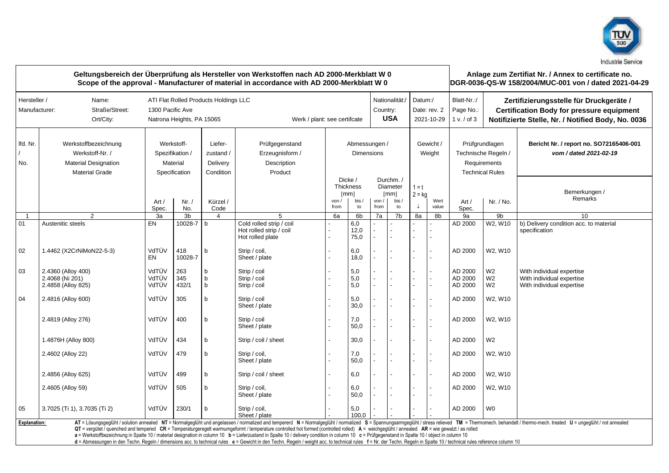

|                               | Geltungsbereich der Überprüfung als Hersteller von Werkstoffen nach AD 2000-Merkblatt W 0<br>Scope of the approval - Manufacturer of material in accordance with AD 2000-Merkblatt W 0 |                                                                                                                                                      |                                                            |                                               |                                                                                                                                                                                                                                                                                                                                                                                                                                                                                                                                                                                                                              |             |                                                   |               |                                                                                                        |                                       |                                                      |                                                                                                               |                                                    | Anlage zum Zertifiat Nr. / Annex to certificate no.<br>DGR-0036-QS-W 158/2004/MUC-001 von / dated 2021-04-29                                                                                                                   |  |  |  |
|-------------------------------|----------------------------------------------------------------------------------------------------------------------------------------------------------------------------------------|------------------------------------------------------------------------------------------------------------------------------------------------------|------------------------------------------------------------|-----------------------------------------------|------------------------------------------------------------------------------------------------------------------------------------------------------------------------------------------------------------------------------------------------------------------------------------------------------------------------------------------------------------------------------------------------------------------------------------------------------------------------------------------------------------------------------------------------------------------------------------------------------------------------------|-------------|---------------------------------------------------|---------------|--------------------------------------------------------------------------------------------------------|---------------------------------------|------------------------------------------------------|---------------------------------------------------------------------------------------------------------------|----------------------------------------------------|--------------------------------------------------------------------------------------------------------------------------------------------------------------------------------------------------------------------------------|--|--|--|
| Hersteller /<br>Manufacturer: | Name:<br>Straße/Street:<br>Ort/City:                                                                                                                                                   | Nationalität:/<br>ATI Flat Rolled Products Holdings LLC<br>1300 Pacific Ave<br>Country:<br>Natrona Heights, PA 15065<br>Werk / plant: see certifcate |                                                            |                                               |                                                                                                                                                                                                                                                                                                                                                                                                                                                                                                                                                                                                                              |             |                                                   |               |                                                                                                        | Datum:/<br>Date: rev. 2<br>2021-10-29 |                                                      | Blatt-Nr.:/<br>Page No.:<br>1 v. / of 3                                                                       |                                                    | Zertifizierungsstelle für Druckgeräte /<br><b>Certification Body for pressure equipment</b><br>Notifizierte Stelle, Nr. / Notified Body, No. 0036                                                                              |  |  |  |
| Ifd. Nr.<br>No.               | Werkstoffbezeichnung<br>Werkstoff-Nr. /<br><b>Material Designation</b><br><b>Material Grade</b>                                                                                        |                                                                                                                                                      | Werkstoff-<br>Spezifikation /<br>Material<br>Specification | Liefer-<br>zustand /<br>Delivery<br>Condition | Prüfgegenstand<br>Erzeugnisform /<br>Description<br>Product                                                                                                                                                                                                                                                                                                                                                                                                                                                                                                                                                                  |             | Abmessungen /<br><b>Dimensions</b>                |               |                                                                                                        | Gewicht /<br>Weight                   |                                                      | Prüfgrundlagen<br>Technische Regeln /<br>Requirements<br><b>Technical Rules</b><br>Art/<br>Nr. / No.<br>Spec. |                                                    | Bericht Nr. / report no. SO72165406-001<br>vom / dated 2021-02-19                                                                                                                                                              |  |  |  |
|                               |                                                                                                                                                                                        | Art/<br>Spec.                                                                                                                                        | Nr. /<br>No.                                               | Kürzel /<br>Code                              |                                                                                                                                                                                                                                                                                                                                                                                                                                                                                                                                                                                                                              | von<br>from | Dicke /<br><b>Thickness</b><br>[mm]<br>bis/<br>to | von /<br>from | Durchm./<br>Diameter<br>$1 = t$<br>$2 = kg$<br>$\lceil mm \rceil$<br>Wert<br>bis /<br>to<br>value<br>↓ |                                       | Bemerkungen /<br>Remarks                             |                                                                                                               |                                                    |                                                                                                                                                                                                                                |  |  |  |
| -1                            | $\overline{2}$                                                                                                                                                                         | 3a                                                                                                                                                   | 3b                                                         | $\overline{4}$                                | 5                                                                                                                                                                                                                                                                                                                                                                                                                                                                                                                                                                                                                            | 6a          | 6 <sub>b</sub>                                    | 7a            | 7 <sub>b</sub>                                                                                         | 8a                                    | 8b                                                   | 9a                                                                                                            | 9b                                                 | 10                                                                                                                                                                                                                             |  |  |  |
| 01                            | Austenitic steels                                                                                                                                                                      | EN                                                                                                                                                   | 10028-7                                                    | $\mathsf{b}$                                  | Cold rolled strip / coil<br>Hot rolled strip / coil<br>Hot rolled plate                                                                                                                                                                                                                                                                                                                                                                                                                                                                                                                                                      |             | 6,0<br>12,0<br>75,0                               | L.            |                                                                                                        |                                       | $\overline{\phantom{0}}$                             | AD 2000                                                                                                       | W2, W10                                            | b) Delivery condition acc. to material<br>specification                                                                                                                                                                        |  |  |  |
| 02                            | 1.4462 (X2CrNiMoN22-5-3)                                                                                                                                                               | VdTÜV<br>EN                                                                                                                                          | 418<br>10028-7                                             | b                                             | Strip / coil,<br>Sheet / plate                                                                                                                                                                                                                                                                                                                                                                                                                                                                                                                                                                                               |             | 6,0<br>18,0                                       |               | $\overline{a}$                                                                                         | L.                                    | $\overline{\phantom{a}}$                             | AD 2000                                                                                                       | W2, W10                                            |                                                                                                                                                                                                                                |  |  |  |
| 03                            | 2.4360 (Alloy 400)<br>2.4068 (Ni 201)<br>2.4858 (Alloy 825)                                                                                                                            | VdTÜV<br>VdTÜV<br>VdTÜV                                                                                                                              | 263<br>345<br>432/1                                        | $\mathsf{b}$<br>$b$<br>b                      | Strip / coil<br>Strip / coil<br>Strip / coil                                                                                                                                                                                                                                                                                                                                                                                                                                                                                                                                                                                 |             | 5,0<br>5,0<br>5,0                                 |               | ÷,                                                                                                     |                                       | $\overline{a}$<br>$\overline{\phantom{0}}$           | AD 2000<br>AD 2000<br>AD 2000                                                                                 | W <sub>2</sub><br>W <sub>2</sub><br>W <sub>2</sub> | With individual expertise<br>With individual expertise<br>With individual expertise                                                                                                                                            |  |  |  |
| 04                            | 2.4816 (Alloy 600)                                                                                                                                                                     | VdTÜV                                                                                                                                                | 305                                                        | $\mathsf{b}$                                  | Strip / coil<br>Sheet / plate                                                                                                                                                                                                                                                                                                                                                                                                                                                                                                                                                                                                |             | 5,0<br>30,0                                       |               | $\overline{a}$                                                                                         |                                       | $\overline{a}$                                       | AD 2000                                                                                                       | W2. W10                                            |                                                                                                                                                                                                                                |  |  |  |
|                               | 2.4819 (Alloy 276)                                                                                                                                                                     | VdTÜV                                                                                                                                                | 400                                                        | b                                             | Strip / coil<br>Sheet / plate                                                                                                                                                                                                                                                                                                                                                                                                                                                                                                                                                                                                |             | 7,0<br>50,0                                       |               | $\ddot{\phantom{a}}$                                                                                   |                                       | $\overline{\phantom{a}}$<br>$\overline{\phantom{0}}$ | AD 2000                                                                                                       | W2, W10                                            |                                                                                                                                                                                                                                |  |  |  |
|                               | 1.4876H (Alloy 800)                                                                                                                                                                    | VdTÜV                                                                                                                                                | 434                                                        | b                                             | Strip / coil / sheet                                                                                                                                                                                                                                                                                                                                                                                                                                                                                                                                                                                                         |             | 30,0                                              |               | $\ddot{\phantom{a}}$                                                                                   | L.                                    | $\overline{a}$                                       | AD 2000                                                                                                       | W <sub>2</sub>                                     |                                                                                                                                                                                                                                |  |  |  |
|                               | 2.4602 (Alloy 22)                                                                                                                                                                      | VdTÜV                                                                                                                                                | 479                                                        | b                                             | Strip / coil,<br>Sheet / plate                                                                                                                                                                                                                                                                                                                                                                                                                                                                                                                                                                                               |             | 7,0<br>50,0                                       |               | $\overline{a}$                                                                                         | L.                                    | $\overline{a}$                                       | AD 2000                                                                                                       | W2, W10                                            |                                                                                                                                                                                                                                |  |  |  |
|                               | 2.4856 (Alloy 625)                                                                                                                                                                     | VdTÜV                                                                                                                                                | 499                                                        | b                                             | Strip / coil / sheet                                                                                                                                                                                                                                                                                                                                                                                                                                                                                                                                                                                                         |             | 6,0                                               |               |                                                                                                        |                                       | $\overline{\phantom{0}}$                             | AD 2000                                                                                                       | W2, W10                                            |                                                                                                                                                                                                                                |  |  |  |
|                               | 2.4605 (Alloy 59)                                                                                                                                                                      | VdTÜV                                                                                                                                                | 505                                                        | b                                             | Strip / coil,<br>Sheet / plate                                                                                                                                                                                                                                                                                                                                                                                                                                                                                                                                                                                               |             | 6,0<br>50,0                                       |               |                                                                                                        |                                       | $\overline{\phantom{a}}$<br>$\overline{\phantom{0}}$ | AD 2000                                                                                                       | W2, W10                                            |                                                                                                                                                                                                                                |  |  |  |
| 05                            | 3.7025 (Ti 1), 3.7035 (Ti 2)                                                                                                                                                           | VdTÜV                                                                                                                                                | 230/1                                                      | b                                             | Strip / coil,<br>Sheet / plate                                                                                                                                                                                                                                                                                                                                                                                                                                                                                                                                                                                               |             | 5,0<br>100.0                                      |               |                                                                                                        |                                       |                                                      | AD 2000                                                                                                       | W <sub>0</sub>                                     |                                                                                                                                                                                                                                |  |  |  |
| <b>Explanation:</b>           |                                                                                                                                                                                        |                                                                                                                                                      |                                                            |                                               | QT = vergütet / quenched and tempered CR = Temperaturgeregelt warmumgeformt / temperature controlled hot formed (controlled rolled) A = weichgeglüht / annealed AR = wie gewalzt / as rolled<br>a = Werkstoffbezeichnung in Spalte 10 / material designation in column 10 b = Lieferzustand in Spalte 10 / delivery condition in column 10 c = Prüfgegenstand in Spalte 10 / object in column 10<br>d = Abmessungen in den Techn. Regeln / dimensions acc. to technical rules e = Gewicht in den Techn. Regeln / weight acc. to technical rules f = Nr. der Techn. Regeln in Spalte 10 / technical rules reference column 10 |             |                                                   |               |                                                                                                        |                                       |                                                      |                                                                                                               |                                                    | AT = Lösungsgeglüht / solution annealed NT = Normalgeglüht und angelassen / normalized and tempererd N = Normalgeglüht / normalized S = Spannungsarmgeglüht / stress relieved TM = Thermomech. behandelt / thermo-mech. treate |  |  |  |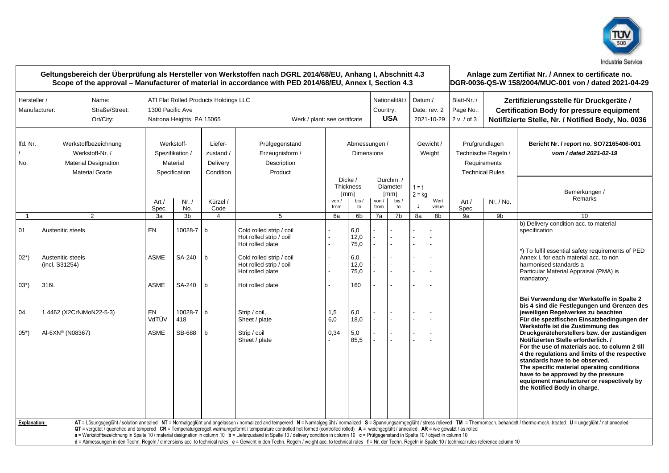

|                               |                                                                                                 |                                                                                                                                                      | Geltungsbereich der Überprüfung als Hersteller von Werkstoffen nach DGRL 2014/68/EU, Anhang I, Abschnitt 4.3<br>Scope of the approval - Manufacturer of material in accordance with PED 2014/68/EU, Annex I, Section 4.3 |                                               |                                                                                                                                                                                                                                                                                                                                                                                                                                                                                                                                                                                                                              |                                    |                                                                  |               |                                                    |                                       |                |                                                                                 | Anlage zum Zertifiat Nr. / Annex to certificate no.<br>DGR-0036-QS-W 158/2004/MUC-001 von / dated 2021-04-29                                      |                                                                                                                                                                                                                                                                                                                                                                                                                                                                |  |  |  |  |
|-------------------------------|-------------------------------------------------------------------------------------------------|------------------------------------------------------------------------------------------------------------------------------------------------------|--------------------------------------------------------------------------------------------------------------------------------------------------------------------------------------------------------------------------|-----------------------------------------------|------------------------------------------------------------------------------------------------------------------------------------------------------------------------------------------------------------------------------------------------------------------------------------------------------------------------------------------------------------------------------------------------------------------------------------------------------------------------------------------------------------------------------------------------------------------------------------------------------------------------------|------------------------------------|------------------------------------------------------------------|---------------|----------------------------------------------------|---------------------------------------|----------------|---------------------------------------------------------------------------------|---------------------------------------------------------------------------------------------------------------------------------------------------|----------------------------------------------------------------------------------------------------------------------------------------------------------------------------------------------------------------------------------------------------------------------------------------------------------------------------------------------------------------------------------------------------------------------------------------------------------------|--|--|--|--|
| Hersteller /<br>Manufacturer: | Name:<br>Straße/Street:<br>Ort/City:                                                            | ATI Flat Rolled Products Holdings LLC<br>Nationalität:/<br>1300 Pacific Ave<br>Country:<br>Natrona Heights, PA 15065<br>Werk / plant: see certifcate |                                                                                                                                                                                                                          |                                               |                                                                                                                                                                                                                                                                                                                                                                                                                                                                                                                                                                                                                              |                                    |                                                                  |               |                                                    | Datum:/<br>Date: rev. 2<br>2021-10-29 |                | Blatt-Nr.:/<br>Page No.:<br>2 v. / of 3                                         | Zertifizierungsstelle für Druckgeräte /<br><b>Certification Body for pressure equipment</b><br>Notifizierte Stelle, Nr. / Notified Body, No. 0036 |                                                                                                                                                                                                                                                                                                                                                                                                                                                                |  |  |  |  |
| lfd. Nr.<br>No.               | Werkstoffbezeichnung<br>Werkstoff-Nr. /<br><b>Material Designation</b><br><b>Material Grade</b> | Werkstoff-<br>Spezifikation /<br>Material<br>Specification                                                                                           |                                                                                                                                                                                                                          | Liefer-<br>zustand /<br>Delivery<br>Condition | Prüfgegenstand<br>Erzeugnisform /<br>Description<br>Product                                                                                                                                                                                                                                                                                                                                                                                                                                                                                                                                                                  | Abmessungen /<br><b>Dimensions</b> |                                                                  |               |                                                    | Gewicht /<br>Weight                   |                | Prüfgrundlagen<br>Technische Regeln /<br>Requirements<br><b>Technical Rules</b> |                                                                                                                                                   | Bericht Nr. / report no. SO72165406-001<br>vom / dated 2021-02-19                                                                                                                                                                                                                                                                                                                                                                                              |  |  |  |  |
|                               |                                                                                                 | Art /<br>Spec.                                                                                                                                       | Nr. /<br>No.                                                                                                                                                                                                             | Kürzel /<br>Code                              |                                                                                                                                                                                                                                                                                                                                                                                                                                                                                                                                                                                                                              | von /<br>from                      | Dicke /<br><b>Thickness</b><br>$\lceil mm \rceil$<br>bis /<br>to | von /<br>from | Durchm./<br><b>Diameter</b><br>[mm]<br>bis /<br>to | $1 = t$<br>$2 = ka$<br>↓              | Wert<br>value  | Art /<br>Spec.                                                                  | Nr. / No.                                                                                                                                         | Bemerkungen /<br>Remarks                                                                                                                                                                                                                                                                                                                                                                                                                                       |  |  |  |  |
| $\mathbf{1}$                  | 2                                                                                               | 3a                                                                                                                                                   | 3b                                                                                                                                                                                                                       | $\overline{4}$                                | 5                                                                                                                                                                                                                                                                                                                                                                                                                                                                                                                                                                                                                            | 6a                                 | 6b                                                               | 7a            | 7 <sub>b</sub>                                     | 8a                                    | 8b             | 9a                                                                              | 9 <sub>b</sub>                                                                                                                                    | 10                                                                                                                                                                                                                                                                                                                                                                                                                                                             |  |  |  |  |
| 01<br>$02*)$<br>$03*)$<br>04  | Austenitic steels<br>Austenitic steels<br>(incl. S31254)<br>316L<br>1.4462 (X2CrNiMoN22-5-3)    | EN<br><b>ASME</b><br><b>ASME</b><br>EN<br>VdTÜV                                                                                                      | 10028-7<br>SA-240<br>SA-240<br>10028-7<br>418                                                                                                                                                                            | b<br>$\mathsf{h}$<br>b<br>$\mathsf{b}$        | Cold rolled strip / coil<br>Hot rolled strip / coil<br>Hot rolled plate<br>Cold rolled strip / coil<br>Hot rolled strip / coil<br>Hot rolled plate<br>Hot rolled plate<br>Strip / coil,<br>Sheet / plate                                                                                                                                                                                                                                                                                                                                                                                                                     | 1,5<br>6,0                         | 6,0<br>12,0<br>75,0<br>6,0<br>12,0<br>75.0<br>160<br>6,0<br>18,0 |               |                                                    | $\overline{a}$                        | $\overline{a}$ |                                                                                 |                                                                                                                                                   | b) Delivery condition acc. to material<br>specification<br>*) To fulfil essential safety requirements of PED<br>Annex I, for each material acc, to non<br>harmonised standards a<br>Particular Material Appraisal (PMA) is<br>mandatory.<br>Bei Verwendung der Werkstoffe in Spalte 2<br>bis 4 sind die Festlegungen und Grenzen des<br>jeweiligen Regelwerkes zu beachten<br>Für die spezifischen Einsatzbedingungen der<br>Werkstoffe ist die Zustimmung des |  |  |  |  |
| 05*)                          | AI-6XN® (N08367)                                                                                | ASME                                                                                                                                                 | SB-688                                                                                                                                                                                                                   | b                                             | Strip / coil<br>Sheet / plate                                                                                                                                                                                                                                                                                                                                                                                                                                                                                                                                                                                                | 0,34                               | 5,0<br>85.5                                                      |               |                                                    | $\overline{a}$                        |                |                                                                                 |                                                                                                                                                   | Druckgeräteherstellers bzw. der zuständigen<br>Notifizierten Stelle erforderlich. /<br>For the use of materials acc. to column 2 till<br>4 the regulations and limits of the respective<br>standards have to be observed.<br>The specific material operating conditions<br>have to be approved by the pressure<br>equipment manufacturer or respectively by<br>the Notified Body in charge.                                                                    |  |  |  |  |
| Explanation:                  |                                                                                                 |                                                                                                                                                      |                                                                                                                                                                                                                          |                                               | QT = vergütet / quenched and tempered CR = Temperaturgeregelt warmumgeformt / temperature controlled hot formed (controlled rolled) A = weichgeglüht / annealed AR = wie gewalzt / as rolled<br>a = Werkstoffbezeichnung in Spalte 10 / material designation in column 10 b = Lieferzustand in Spalte 10 / delivery condition in column 10 c = Prüfgegenstand in Spalte 10 / object in column 10<br>d = Abmessungen in den Techn. Regeln / dimensions acc. to technical rules e = Gewicht in den Techn. Regeln / weight acc. to technical rules f = Nr. der Techn. Regeln in Spalte 10 / technical rules reference column 10 |                                    |                                                                  |               |                                                    |                                       |                |                                                                                 |                                                                                                                                                   | AT = Lösungsgeglüht / solution annealed NT = Normalgeglüht und angelassen / normalized and tempererd N = Normalgeglüht / normalized S = Spannungsarmgeglüht / stress relieved TM = Thermomech. behandelt / thermo-mech. treate                                                                                                                                                                                                                                 |  |  |  |  |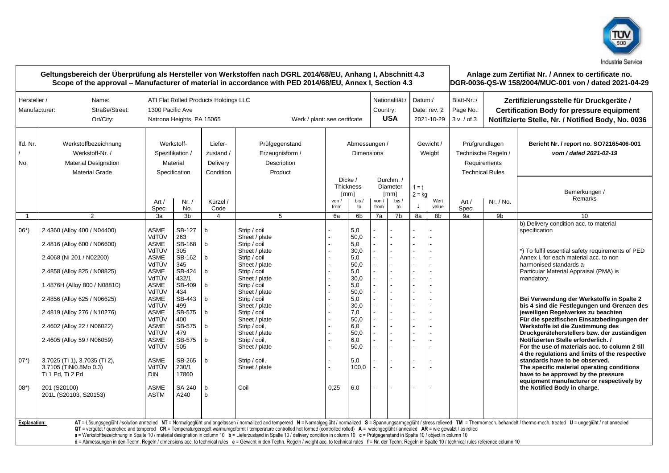

|                               | Geltungsbereich der Überprüfung als Hersteller von Werkstoffen nach DGRL 2014/68/EU, Anhang I, Abschnitt 4.3<br>Scope of the approval – Manufacturer of material in accordance with PED 2014/68/EU, Annex I, Section 4.3                                                                                                                                       |                                                                                                                                                                                                                         |                                                                                                                                                                                     |                                                                                                                  |                                                                                                                                                                                                                                                                                                                                                                                                                                                                                                                                                                                                                                      |              |                                                                                                                                                     |                                                  |                                                           |                                       |                | Anlage zum Zertifiat Nr. / Annex to certificate no.<br>DGR-0036-QS-W 158/2004/MUC-001 von / dated 2021-04-29 |                                                                                                                                                   |                                                                                                                                                                                                                                                                                                                                                                                                                                                                                                                                                                                                                                                                                                                                                                                                                               |  |  |
|-------------------------------|----------------------------------------------------------------------------------------------------------------------------------------------------------------------------------------------------------------------------------------------------------------------------------------------------------------------------------------------------------------|-------------------------------------------------------------------------------------------------------------------------------------------------------------------------------------------------------------------------|-------------------------------------------------------------------------------------------------------------------------------------------------------------------------------------|------------------------------------------------------------------------------------------------------------------|--------------------------------------------------------------------------------------------------------------------------------------------------------------------------------------------------------------------------------------------------------------------------------------------------------------------------------------------------------------------------------------------------------------------------------------------------------------------------------------------------------------------------------------------------------------------------------------------------------------------------------------|--------------|-----------------------------------------------------------------------------------------------------------------------------------------------------|--------------------------------------------------|-----------------------------------------------------------|---------------------------------------|----------------|--------------------------------------------------------------------------------------------------------------|---------------------------------------------------------------------------------------------------------------------------------------------------|-------------------------------------------------------------------------------------------------------------------------------------------------------------------------------------------------------------------------------------------------------------------------------------------------------------------------------------------------------------------------------------------------------------------------------------------------------------------------------------------------------------------------------------------------------------------------------------------------------------------------------------------------------------------------------------------------------------------------------------------------------------------------------------------------------------------------------|--|--|
| Hersteller /<br>Manufacturer: | Name:<br>Straße/Street:<br>Ort/City:                                                                                                                                                                                                                                                                                                                           | 1300 Pacific Ave                                                                                                                                                                                                        | Natrona Heights, PA 15065                                                                                                                                                           | ATI Flat Rolled Products Holdings LLC                                                                            | Werk / plant: see certifcate                                                                                                                                                                                                                                                                                                                                                                                                                                                                                                                                                                                                         |              |                                                                                                                                                     | Nationalität:/<br>Country:<br><b>USA</b>         |                                                           | Datum:/<br>Date: rev. 2<br>2021-10-29 |                | Blatt-Nr.:/<br>Page No.:<br>3 v. / of 3                                                                      | Zertifizierungsstelle für Druckgeräte /<br><b>Certification Body for pressure equipment</b><br>Notifizierte Stelle, Nr. / Notified Body, No. 0036 |                                                                                                                                                                                                                                                                                                                                                                                                                                                                                                                                                                                                                                                                                                                                                                                                                               |  |  |
| Ifd. Nr.<br>No.               | Werkstoffbezeichnung<br>Werkstoff-Nr. /<br><b>Material Designation</b><br><b>Material Grade</b>                                                                                                                                                                                                                                                                | Werkstoff-<br>Spezifikation /<br>Material<br>Specification                                                                                                                                                              |                                                                                                                                                                                     | Liefer-<br>zustand /<br>Delivery<br>Condition                                                                    | Prüfgegenstand<br>Erzeugnisform /<br>Description<br>Product                                                                                                                                                                                                                                                                                                                                                                                                                                                                                                                                                                          |              | Abmessungen /<br><b>Dimensions</b>                                                                                                                  |                                                  |                                                           | Gewicht /<br>Weight                   |                | Prüfgrundlagen<br>Technische Regeln /<br>Requirements<br><b>Technical Rules</b>                              |                                                                                                                                                   | Bericht Nr. / report no. SO72165406-001<br>vom / dated 2021-02-19                                                                                                                                                                                                                                                                                                                                                                                                                                                                                                                                                                                                                                                                                                                                                             |  |  |
|                               |                                                                                                                                                                                                                                                                                                                                                                | Art/<br>Spec.                                                                                                                                                                                                           | Nr. /<br>No.                                                                                                                                                                        | Kürzel /<br>Code                                                                                                 |                                                                                                                                                                                                                                                                                                                                                                                                                                                                                                                                                                                                                                      | von.<br>from | Dicke /<br>Thickness<br>[mm]<br>bis.<br>to                                                                                                          | von /<br>from                                    | Durchm./<br>Diameter<br>$\lceil mm \rceil$<br>bis /<br>to | $1 = t$<br>$2 = kg$                   | Wert<br>value  | Art/<br>Spec.                                                                                                | Nr. / No.                                                                                                                                         | Bemerkungen /<br>Remarks                                                                                                                                                                                                                                                                                                                                                                                                                                                                                                                                                                                                                                                                                                                                                                                                      |  |  |
| $\overline{1}$                | $\overline{2}$                                                                                                                                                                                                                                                                                                                                                 | 3a                                                                                                                                                                                                                      | 3 <sub>b</sub>                                                                                                                                                                      | $\overline{4}$                                                                                                   | 5                                                                                                                                                                                                                                                                                                                                                                                                                                                                                                                                                                                                                                    | 6a           | 6 <sub>b</sub>                                                                                                                                      | 7a                                               | 7b                                                        | 8a                                    | 8b             | 9a                                                                                                           | 9b                                                                                                                                                | 10                                                                                                                                                                                                                                                                                                                                                                                                                                                                                                                                                                                                                                                                                                                                                                                                                            |  |  |
| $06*)$<br>$07^*$ )            | 2.4360 (Alloy 400 / N04400)<br>2.4816 (Alloy 600 / N06600)<br>2.4068 (Ni 201 / N02200)<br>2.4858 (Alloy 825 / N08825)<br>1.4876H (Alloy 800 / N08810)<br>2.4856 (Alloy 625 / N06625)<br>2.4819 (Alloy 276 / N10276)<br>2.4602 (Alloy 22 / N06022)<br>2.4605 (Alloy 59 / N06059)<br>3.7025 (Ti 1), 3.7035 (Ti 2),<br>3.7105 (TiNi0.8Mo 0.3)<br>Ti 1 Pd, Ti 2 Pd | <b>ASME</b><br>VdTÜV<br><b>ASME</b><br>VdTÜV<br>ASME<br>VdTÜV<br>ASME<br>VdTÜV<br><b>ASME</b><br>VdTÜV<br>ASME<br>VdTÜV<br>ASME<br>VdTÜV<br><b>ASME</b><br>VdTÜV<br>ASME<br>VdTÜV<br><b>ASME</b><br>VdTÜV<br><b>DIN</b> | SB-127<br>263<br>SB-168<br>305<br>SB-162<br>345<br>SB-424<br>432/1<br>SB-409<br>434<br>SB-443<br>499<br>SB-575<br>400<br>SB-575<br>479<br>SB-575<br>505<br>SB-265<br>230/1<br>17860 | $\mathsf b$<br>$\mathsf b$<br>$\mathsf{b}$<br>b<br>$\mathsf{b}$<br>$\mathsf{b}$<br>b<br>b<br>$b$<br>$\mathsf{b}$ | Strip / coil<br>Sheet / plate<br>Strip / coil<br>Sheet / plate<br>Strip / coil<br>Sheet / plate<br>Strip / coil<br>Sheet / plate<br>Strip / coil<br>Sheet / plate<br>Strip / coil<br>Sheet / plate<br>Strip / coil<br>Sheet / plate<br>Strip / coil,<br>Sheet / plate<br>Strip / coil,<br>Sheet / plate<br>Strip / coil,<br>Sheet / plate                                                                                                                                                                                                                                                                                            |              | 5,0<br>50,0<br>5,0<br>30,0<br>5,0<br>50.0<br>5,0<br>30,0<br>5.0<br>50,0<br>5,0<br>30.0<br>7,0<br>50,0<br>6,0<br>50,0<br>6,0<br>50.0<br>5,0<br>100,0 | $\overline{a}$<br>$\mathbf{r}$<br>$\overline{a}$ |                                                           | $\overline{a}$                        | $\overline{a}$ |                                                                                                              |                                                                                                                                                   | b) Delivery condition acc. to material<br>specification<br>*) To fulfil essential safety requirements of PED<br>Annex I, for each material acc. to non<br>harmonised standards a<br>Particular Material Appraisal (PMA) is<br>mandatory.<br>Bei Verwendung der Werkstoffe in Spalte 2<br>bis 4 sind die Festlegungen und Grenzen des<br>jeweiligen Regelwerkes zu beachten<br>Für die spezifischen Einsatzbedingungen der<br>Werkstoffe ist die Zustimmung des<br>Druckgeräteherstellers bzw. der zuständigen<br>Notifizierten Stelle erforderlich. /<br>For the use of materials acc. to column 2 till<br>4 the regulations and limits of the respective<br>standards have to be observed.<br>The specific material operating conditions<br>have to be approved by the pressure<br>equipment manufacturer or respectively by |  |  |
| $08*$<br><b>Explanation:</b>  | 201 (S20100)<br>201L (S20103, S20153)                                                                                                                                                                                                                                                                                                                          | <b>ASME</b><br>ASTM                                                                                                                                                                                                     | SA-240<br>A240                                                                                                                                                                      | $\mathsf{b}$<br>$\mathsf b$                                                                                      | Coil<br>QT = vergütet / quenched and tempered CR = Temperaturgeregelt warmumgeformt / temperature controlled hot formed (controlled rolled) A = weichgeglüht / annealed AR = wie gewalzt / as rolled<br>a = Werkstoffbezeichnung in Spalte 10 / material designation in column 10 b = Lieferzustand in Spalte 10 / delivery condition in column 10 c = Prüfgegenstand in Spalte 10 / object in column 10<br>d = Abmessungen in den Techn. Regeln / dimensions acc. to technical rules e = Gewicht in den Techn. Regeln / weight acc. to technical rules f = Nr. der Techn. Regeln in Spalte 10 / technical rules reference column 10 | 0,25         | 6,0                                                                                                                                                 |                                                  |                                                           |                                       |                |                                                                                                              |                                                                                                                                                   | the Notified Body in charge.<br>AT = Lösungsgeglüht / solution annealed NT = Normalgeglüht und angelassen / normalized and tempererd N = Normalgeglüht / normalized S = Spannungsarmgeglüht / stress relieved TM = Thermomech. behandelt / thermo-mech. treate                                                                                                                                                                                                                                                                                                                                                                                                                                                                                                                                                                |  |  |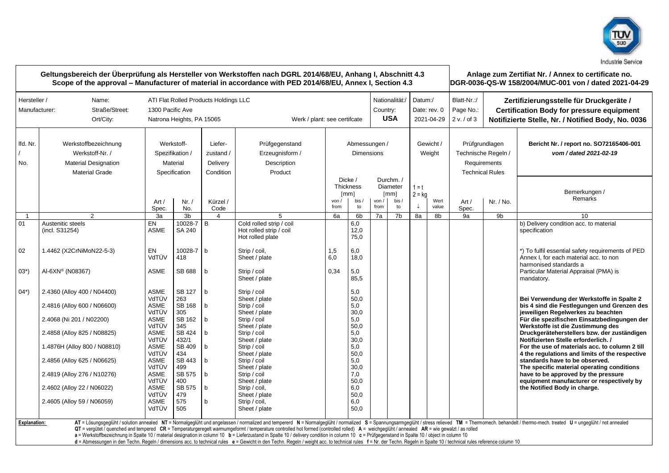

| Geltungsbereich der Überprüfung als Hersteller von Werkstoffen nach DGRL 2014/68/EU, Anhang I, Abschnitt 4.3<br>Scope of the approval – Manufacturer of material in accordance with PED 2014/68/EU, Annex I, Section 4.3 |                                                                                                 |                                                                                                                                    |                                                            |                                               |                                                                                                                                                                                                                                                                                                                                                                                                  |             |                                                    |               |                                             |                                                         |                     | Anlage zum Zertifiat Nr. / Annex to certificate no.<br>DGR-0036-QS-W 158/2004/MUC-001 von / dated 2021-04-29 |                                                                 |                                                                                                                                                                                                                                |  |
|--------------------------------------------------------------------------------------------------------------------------------------------------------------------------------------------------------------------------|-------------------------------------------------------------------------------------------------|------------------------------------------------------------------------------------------------------------------------------------|------------------------------------------------------------|-----------------------------------------------|--------------------------------------------------------------------------------------------------------------------------------------------------------------------------------------------------------------------------------------------------------------------------------------------------------------------------------------------------------------------------------------------------|-------------|----------------------------------------------------|---------------|---------------------------------------------|---------------------------------------------------------|---------------------|--------------------------------------------------------------------------------------------------------------|-----------------------------------------------------------------|--------------------------------------------------------------------------------------------------------------------------------------------------------------------------------------------------------------------------------|--|
| Hersteller /<br>Manufacturer:                                                                                                                                                                                            | Name:<br>Straße/Street:<br>Ort/City:                                                            | ATI Flat Rolled Products Holdings LLC<br>1300 Pacific Ave<br>Country:<br>Werk / plant: see certifcate<br>Natrona Heights, PA 15065 |                                                            |                                               |                                                                                                                                                                                                                                                                                                                                                                                                  |             |                                                    |               |                                             | Nationalität:/<br>Datum:/<br>Date: rev. 0<br>2021-04-29 |                     | Blatt-Nr.:/<br>Page No.:<br>2 v. / of 3                                                                      |                                                                 | Zertifizierungsstelle für Druckgeräte /<br><b>Certification Body for pressure equipment</b><br>Notifizierte Stelle, Nr. / Notified Body, No. 0036                                                                              |  |
| Ifd. Nr.<br>No.                                                                                                                                                                                                          | Werkstoffbezeichnung<br>Werkstoff-Nr. /<br><b>Material Designation</b><br><b>Material Grade</b> |                                                                                                                                    | Werkstoff-<br>Spezifikation /<br>Material<br>Specification | Liefer-<br>zustand /<br>Delivery<br>Condition | Prüfgegenstand<br>Erzeugnisform /<br>Description<br>Product                                                                                                                                                                                                                                                                                                                                      |             | Abmessungen /<br><b>Dimensions</b>                 |               |                                             |                                                         | Gewicht /<br>Weight | Requirements                                                                                                 | Prüfgrundlagen<br>Technische Regeln /<br><b>Technical Rules</b> | Bericht Nr. / report no. SO72165406-001<br>vom / dated 2021-02-19                                                                                                                                                              |  |
|                                                                                                                                                                                                                          |                                                                                                 | Art /<br>Spec.                                                                                                                     | Nr. /<br>No.                                               | Kürzel /<br>Code                              |                                                                                                                                                                                                                                                                                                                                                                                                  | von<br>from | Dicke /<br><b>Thickness</b><br>[mm]<br>bis /<br>to | von /<br>from | Durchm./<br>Diameter<br>[mm]<br>bis /<br>to | $1 = t$<br>$2 = ka$<br>↓                                | Wert<br>value       | Art /<br>Spec.                                                                                               | Nr. / No.                                                       | Bemerkungen /<br>Remarks                                                                                                                                                                                                       |  |
| $\overline{1}$                                                                                                                                                                                                           | 2                                                                                               | 3a                                                                                                                                 | 3 <sub>b</sub>                                             | 4                                             | 5                                                                                                                                                                                                                                                                                                                                                                                                | 6a          | 6 <sub>b</sub>                                     | 7a            | 7 <sub>b</sub>                              | 8a                                                      | 8b                  | 9a                                                                                                           | 9b                                                              | 10                                                                                                                                                                                                                             |  |
| 01                                                                                                                                                                                                                       | Austenitic steels<br>(incl. S31254)                                                             | EN<br><b>ASME</b>                                                                                                                  | 10028-7<br>SA 240                                          | B                                             | Cold rolled strip / coil<br>Hot rolled strip / coil<br>Hot rolled plate                                                                                                                                                                                                                                                                                                                          |             | 6,0<br>12,0<br>75,0                                |               |                                             |                                                         |                     |                                                                                                              |                                                                 | b) Delivery condition acc. to material<br>specification                                                                                                                                                                        |  |
| 02                                                                                                                                                                                                                       | 1.4462 (X2CrNiMoN22-5-3)                                                                        | EN<br>VdTÜV                                                                                                                        | 10028-7 b<br>418                                           |                                               | Strip / coil.<br>Sheet / plate                                                                                                                                                                                                                                                                                                                                                                   | 1,5<br>6,0  | 6,0<br>18,0                                        |               |                                             |                                                         |                     |                                                                                                              |                                                                 | *) To fulfil essential safety requirements of PED<br>Annex I, for each material acc, to non<br>harmonised standards a                                                                                                          |  |
| $03*)$                                                                                                                                                                                                                   | AI-6XN® (N08367)                                                                                | <b>ASME</b>                                                                                                                        | SB 688                                                     | $\mathbf b$                                   | Strip / coil<br>Sheet / plate                                                                                                                                                                                                                                                                                                                                                                    | 0.34        | 5,0<br>85,5                                        |               |                                             |                                                         |                     |                                                                                                              |                                                                 | Particular Material Appraisal (PMA) is<br>mandatory.                                                                                                                                                                           |  |
| $04^*$                                                                                                                                                                                                                   | 2.4360 (Alloy 400 / N04400)                                                                     | <b>ASME</b><br>VdTÜV                                                                                                               | SB 127<br>263                                              | b                                             | Strip / coil<br>Sheet / plate                                                                                                                                                                                                                                                                                                                                                                    |             | 5,0<br>50,0                                        |               |                                             |                                                         |                     |                                                                                                              |                                                                 | Bei Verwendung der Werkstoffe in Spalte 2                                                                                                                                                                                      |  |
|                                                                                                                                                                                                                          | 2.4816 (Alloy 600 / N06600)                                                                     | ASME<br>VdTÜV                                                                                                                      | SB 168<br>305                                              | b                                             | Strip / coil<br>Sheet / plate                                                                                                                                                                                                                                                                                                                                                                    |             | 5,0<br>30,0                                        |               |                                             |                                                         |                     |                                                                                                              |                                                                 | bis 4 sind die Festlegungen und Grenzen des<br>jeweiligen Regelwerkes zu beachten                                                                                                                                              |  |
|                                                                                                                                                                                                                          | 2.4068 (Ni 201 / N02200)                                                                        | <b>ASME</b><br>VdTÜV                                                                                                               | SB 162<br>345                                              | $\mathsf{h}$                                  | Strip / coil<br>Sheet / plate                                                                                                                                                                                                                                                                                                                                                                    |             | 5,0<br>50,0                                        |               |                                             |                                                         |                     |                                                                                                              |                                                                 | Für die spezifischen Einsatzbedingungen der<br>Werkstoffe ist die Zustimmung des                                                                                                                                               |  |
|                                                                                                                                                                                                                          | 2.4858 (Alloy 825 / N08825)                                                                     | <b>ASME</b><br>VdTÜV                                                                                                               | SB 424<br>432/1                                            | b                                             | Strip / coil<br>Sheet / plate                                                                                                                                                                                                                                                                                                                                                                    |             | 5,0<br>30,0                                        |               |                                             |                                                         |                     |                                                                                                              |                                                                 | Druckgeräteherstellers bzw. der zuständigen<br>Notifizierten Stelle erforderlich. /                                                                                                                                            |  |
|                                                                                                                                                                                                                          | 1.4876H (Alloy 800 / N08810)                                                                    | ASME<br>VdTÜV                                                                                                                      | SB 409<br>434                                              | b                                             | Strip / coil                                                                                                                                                                                                                                                                                                                                                                                     |             | 5,0                                                |               |                                             |                                                         |                     |                                                                                                              |                                                                 | For the use of materials acc. to column 2 till                                                                                                                                                                                 |  |
|                                                                                                                                                                                                                          | 2.4856 (Alloy 625 / N06625)                                                                     | <b>ASME</b><br>VdTÜV                                                                                                               | SB 443<br>499                                              | $\mathbf b$                                   | Sheet / plate<br>Strip / coil<br>Sheet / plate                                                                                                                                                                                                                                                                                                                                                   |             | 50,0<br>5,0<br>30,0                                |               |                                             |                                                         |                     |                                                                                                              |                                                                 | 4 the regulations and limits of the respective<br>standards have to be observed.<br>The specific material operating conditions                                                                                                 |  |
|                                                                                                                                                                                                                          | 2.4819 (Alloy 276 / N10276)                                                                     | <b>ASME</b><br>VdTÜV                                                                                                               | SB 575<br>400                                              | $\mathbf b$                                   | Strip / coil<br>Sheet / plate                                                                                                                                                                                                                                                                                                                                                                    |             | 7,0<br>50,0                                        |               |                                             |                                                         |                     |                                                                                                              |                                                                 | have to be approved by the pressure<br>equipment manufacturer or respectively by                                                                                                                                               |  |
|                                                                                                                                                                                                                          | 2.4602 (Alloy 22 / N06022)                                                                      | ASME<br>VdTÜV                                                                                                                      | SB 575<br>479                                              | b                                             | Strip / coil,<br>Sheet / plate                                                                                                                                                                                                                                                                                                                                                                   |             | 6,0<br>50,0                                        |               |                                             |                                                         |                     |                                                                                                              |                                                                 | the Notified Body in charge.                                                                                                                                                                                                   |  |
|                                                                                                                                                                                                                          | 2.4605 (Alloy 59 / N06059)                                                                      | ASME<br>VdTÜV                                                                                                                      | 575<br>505                                                 | b                                             | Strip / coil,<br>Sheet / plate                                                                                                                                                                                                                                                                                                                                                                   |             | 6,0<br>50.0                                        |               |                                             |                                                         |                     |                                                                                                              |                                                                 |                                                                                                                                                                                                                                |  |
| <b>Explanation:</b>                                                                                                                                                                                                      |                                                                                                 |                                                                                                                                    |                                                            |                                               |                                                                                                                                                                                                                                                                                                                                                                                                  |             |                                                    |               |                                             |                                                         |                     |                                                                                                              |                                                                 | AT = Lösungsgeglüht / solution annealed NT = Normalgeglüht und angelassen / normalized and tempererd N = Normalgeglüht / normalized S = Spannungsarmgeglüht / stress relieved TM = Thermomech. behandelt / thermo-mech. treate |  |
|                                                                                                                                                                                                                          |                                                                                                 |                                                                                                                                    |                                                            |                                               | QT = vergütet / quenched and tempered CR = Temperaturgeregelt warmumgeformt / temperature controlled hot formed (controlled rolled) A = weichgeglüht / annealed AR = wie gewalzt / as rolled<br>a = Werkstoffbezeichnung in Spalte 10 / material designation in column 10 b = Lieferzustand in Spalte 10 / delivery condition in column 10 c = Prüfgegenstand in Spalte 10 / object in column 10 |             |                                                    |               |                                             |                                                         |                     |                                                                                                              |                                                                 |                                                                                                                                                                                                                                |  |
|                                                                                                                                                                                                                          |                                                                                                 |                                                                                                                                    |                                                            |                                               | d = Abmessungen in den Techn. Regeln / dimensions acc. to technical rules e = Gewicht in den Techn. Regeln / weight acc. to technical rules f = Nr. der Techn. Regeln in Spalte 10 / technical rules reference column 10                                                                                                                                                                         |             |                                                    |               |                                             |                                                         |                     |                                                                                                              |                                                                 |                                                                                                                                                                                                                                |  |